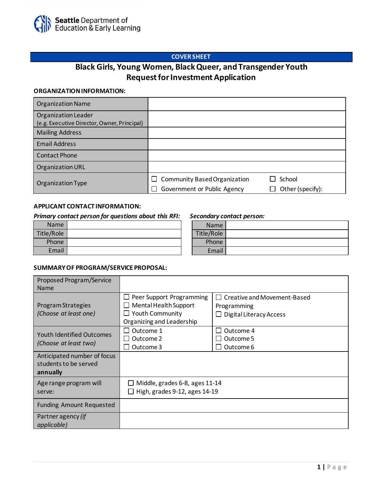

## **COVER SHEET**

# **Black Girls, Young Women, Black Queer, and Transgender Youth Request for Investment Application**

#### **ORGANIZATION INFORMATION:**

| <b>Organization Name</b>                                           |                                                                    |                                            |
|--------------------------------------------------------------------|--------------------------------------------------------------------|--------------------------------------------|
| Organization Leader<br>(e.g. Executive Director, Owner, Principal) |                                                                    |                                            |
| <b>Mailing Address</b>                                             |                                                                    |                                            |
| <b>Email Address</b>                                               |                                                                    |                                            |
| <b>Contact Phone</b>                                               |                                                                    |                                            |
| Organization URL                                                   |                                                                    |                                            |
| Organization Type                                                  | <b>Community Based Organization</b><br>Government or Public Agency | School<br>Other (specify):<br>$\mathsf{L}$ |

#### **APPLICANT CONTACT INFORMATION:**

#### *Primary contact person for questions about this RFI: Secondary contact person:*

| Name       |  | <b>Name</b> |  |
|------------|--|-------------|--|
| Title/Role |  | Title/Role  |  |
| Phone      |  | Phone       |  |
| Email      |  | Email       |  |

#### **SUMMARY OF PROGRAM/SERVICE PROPOSAL:**

| Proposed Program/Service<br><b>Name</b>                          |                                                                                                          |                                                                                     |
|------------------------------------------------------------------|----------------------------------------------------------------------------------------------------------|-------------------------------------------------------------------------------------|
| Program Strategies<br>(Choose at least one)                      | Peer Support Programming<br>Mental Health Support<br><b>Youth Community</b><br>Organizing and Leadership | $\Box$ Creative and Movement-Based<br>Programming<br>$\Box$ Digital Literacy Access |
| <b>Youth Identified Outcomes</b><br>(Choose at least two)        | Outcome 1<br>Outcome 2<br>Outcome 3                                                                      | Outcome 4<br>$\Box$ Outcome 6                                                       |
| Anticipated number of focus<br>students to be served<br>annually |                                                                                                          |                                                                                     |
| Age range program will<br>serve:                                 | Middle, grades 6-8, ages 11-14<br>High, grades 9-12, ages 14-19                                          |                                                                                     |
| <b>Funding Amount Requested</b>                                  |                                                                                                          |                                                                                     |
| Partner agency (if<br><i>applicable</i> )                        |                                                                                                          |                                                                                     |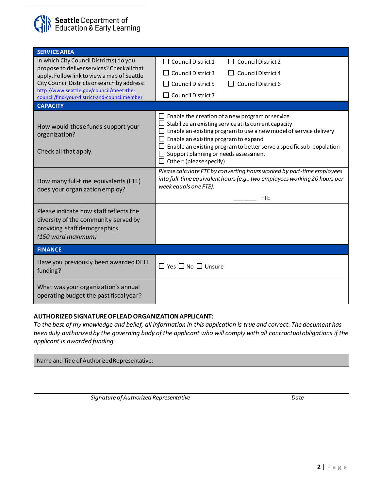

| <b>SERVICE AREA</b>                                                                                                                  |                                                                                                                                                                                                                                                                                                                                                                              |  |
|--------------------------------------------------------------------------------------------------------------------------------------|------------------------------------------------------------------------------------------------------------------------------------------------------------------------------------------------------------------------------------------------------------------------------------------------------------------------------------------------------------------------------|--|
| In which City Council District(s) do you                                                                                             | Council District 1<br>Council District 2<br>ΙI<br>$\mathsf{L}$                                                                                                                                                                                                                                                                                                               |  |
| propose to deliver services? Checkall that<br>apply. Follow link to view a map of Seattle                                            | Council District 3<br>Council District 4                                                                                                                                                                                                                                                                                                                                     |  |
| City Council Districts or search by address:                                                                                         | <b>Council District 5</b><br>Council District 6                                                                                                                                                                                                                                                                                                                              |  |
| http://www.seattle.gov/council/meet-the-<br>council/find-vour-district-and-councilmember                                             | Council District 7<br>П                                                                                                                                                                                                                                                                                                                                                      |  |
| <b>CAPACITY</b>                                                                                                                      |                                                                                                                                                                                                                                                                                                                                                                              |  |
| How would these funds support your<br>organization?<br>Check all that apply.                                                         | Enable the creation of a new program or service<br>ப<br>Stabilize an existing service at its current capacity<br>Enable an existing program to use a new model of service delivery<br>$\Box$ Enable an existing program to expand<br>Enable an existing program to better serve a specific sub-population<br>Support planning or needs assessment<br>Other: (please specify) |  |
| How many full-time equivalents (FTE)<br>does your organization employ?                                                               | Please calculate FTE by converting hours worked by part-time employees<br>into full-time equivalent hours (e.g., two employees working 20 hours per<br>week equals one FTE).<br><b>FTF</b>                                                                                                                                                                                   |  |
| Please indicate how staff reflects the<br>diversity of the community served by<br>providing staff demographics<br>(150 word maximum) |                                                                                                                                                                                                                                                                                                                                                                              |  |
| <b>FINANCE</b>                                                                                                                       |                                                                                                                                                                                                                                                                                                                                                                              |  |
| Have you previously been awarded DEEL<br>funding?                                                                                    | $\Box$ Yes $\Box$ No $\Box$ Unsure                                                                                                                                                                                                                                                                                                                                           |  |
| What was your organization's annual<br>operating budget the past fiscal year?                                                        |                                                                                                                                                                                                                                                                                                                                                                              |  |

#### **AUTHORIZED SIGNATURE OF LEAD ORGANIZATION APPLICANT:**

*To the best of my knowledge and belief, all information in this application is true and correct. The document has been duly authorized by the governing body of the applicant who will comply with all contractual obligations if the applicant is awarded funding.*

Name and Title of Authorized Representative:

*Signature of Authorized Representative Date*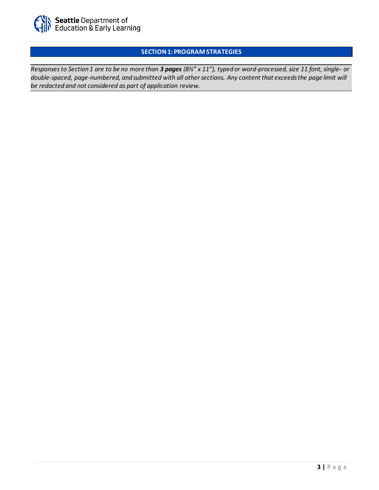

# **SECTION 1: PROGRAM STRATEGIES**

*Responses to Section 1 are to be no more than 3 pages (8½" x 11"), typed or word-processed, size 11 font, single- or double-spaced, page-numbered, and submitted with all other sections. Any content that exceeds the page limit will be redacted and not considered as part of application review.*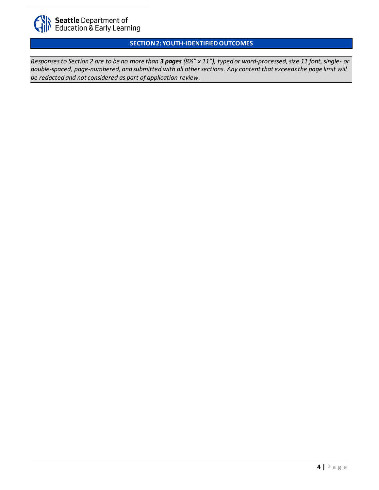

# **SECTION 2: YOUTH-IDENTIFIED OUTCOMES**

*Responses to Section 2 are to be no more than 3 pages (8½" x 11"), typed or word-processed, size 11 font, single- or double-spaced, page-numbered, and submitted with all other sections. Any content that exceeds the page limit will be redacted and not considered as part of application review.*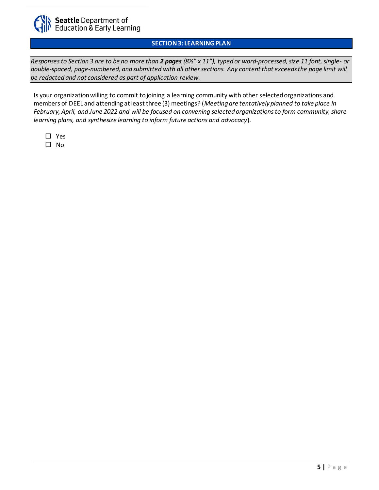

## **SECTION 3: LEARNING PLAN**

*Responses to Section 3 are to be no more than 2 pages (8½" x 11"), typed or word-processed, size 11 font, single- or double-spaced, page-numbered, and submitted with all other sections. Any content that exceeds the page limit will be redacted and not considered as part of application review.* 

Is your organization willing to commit to joining a learning community with other selected organizations and members of DEEL and attending at least three (3) meetings? (*Meeting are tentatively planned to take place in February, April, and June 2022 and will be focused on convening selected organizations to form community, share learning plans, and synthesize learning to inform future actions and advocacy*).

| П | Yes |
|---|-----|
| r | NΩ  |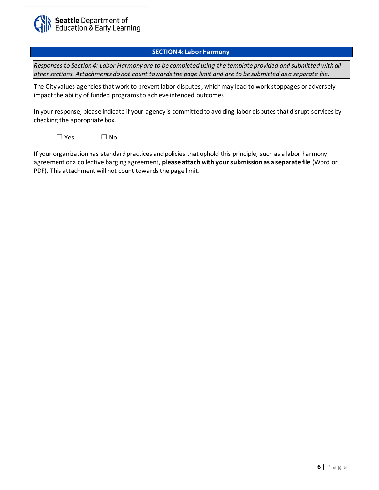

# **SECTION 4: Labor Harmony**

*Responses to Section 4: Labor Harmony are to be completed using the template provided and submitted with all other sections. Attachments do not count towards the page limit and are to be submitted as a separate file.* 

The City values agencies that work to prevent labor disputes, which may lead to work stoppages or adversely impact the ability of funded programs to achieve intended outcomes.

In your response, please indicate if your agency is committed to avoiding labor disputes that disrupt services by checking the appropriate box.

 $\square$  Yes  $\square$  No

If your organization has standard practices and policies that uphold this principle, such as a labor harmony agreement or a collective barging agreement, **please attach with your submission as a separate file** (Word or PDF). This attachment will not count towards the page limit.